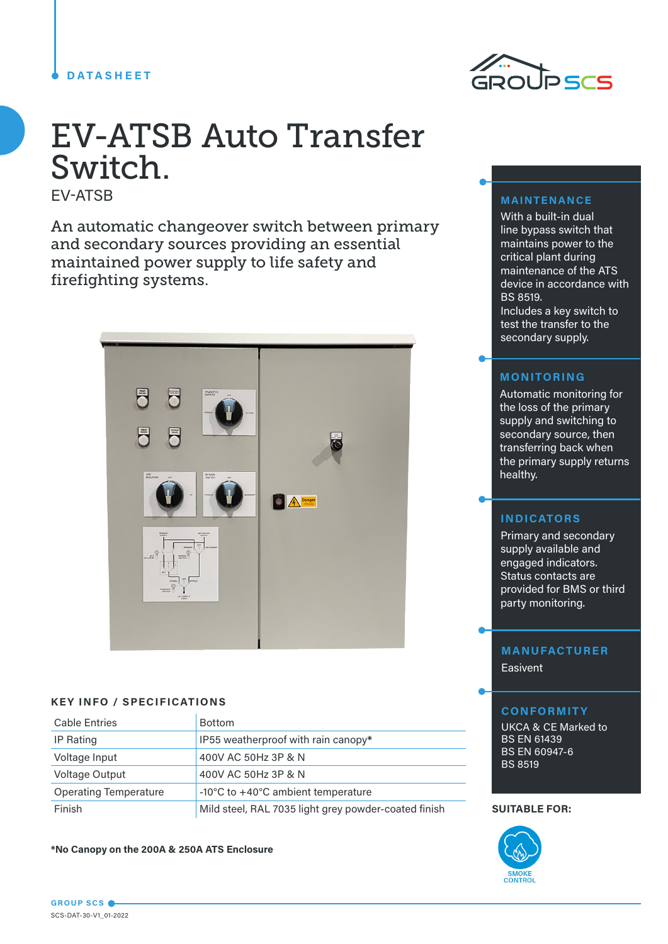## **DATASHEET**



# EV-ATSB Auto Transfer Switch.

EV-ATSB

An automatic changeover switch between primary and secondary sources providing an essential maintained power supply to life safety and firefighting systems.



### **KEY INFO / SPECIFICATIONS**

| <b>Cable Entries</b>         | <b>Bottom</b>                                        |
|------------------------------|------------------------------------------------------|
| IP Rating                    | IP55 weatherproof with rain canopy*                  |
| Voltage Input                | 400V AC 50Hz 3P & N                                  |
| Voltage Output               | 400V AC 50Hz 3P & N                                  |
| <b>Operating Temperature</b> | -10°C to +40°C ambient temperature                   |
| Finish                       | Mild steel, RAL 7035 light grey powder-coated finish |

**\*No Canopy on the 200A & 250A ATS Enclosure**



With a built-in dual line bypass switch that maintains power to the critical plant during maintenance of the ATS device in accordance with BS 8519. Includes a key switch to test the transfer to the secondary supply.

## **MONITORING**

Automatic monitoring for the loss of the primary supply and switching to secondary source, then transferring back when the primary supply returns healthy.

## **INDICATORS**

Primary and secondary supply available and engaged indicators. Status contacts are provided for BMS or third party monitoring.

## **MANUFACTURER Easivent**

# **CONFORMITY**

UKCA & CE Marked to BS EN 61439 BS EN 60947-6 BS 8519

### **SUITABLE FOR:**

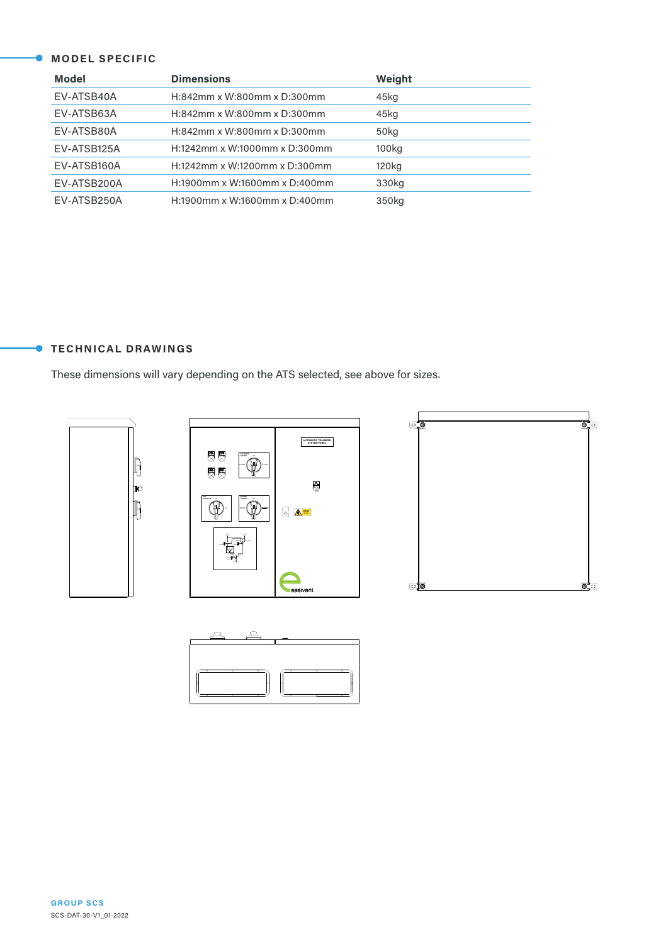# **MODEL SPECIFIC**

| <b>Model</b> | <b>Dimensions</b>             | Weight            |
|--------------|-------------------------------|-------------------|
| EV-ATSB40A   | H:842mm x W:800mm x D:300mm   | 45kg              |
| EV-ATSB63A   | H:842mm x W:800mm x D:300mm   | 45kg              |
| EV-ATSB80A   | H:842mm x W:800mm x D:300mm   | 50kg              |
| EV-ATSB125A  | H:1242mm x W:1000mm x D:300mm | 100 <sub>kg</sub> |
| EV-ATSB160A  | H:1242mm x W:1200mm x D:300mm | 120 <sub>kg</sub> |
| EV-ATSB200A  | H:1900mm x W:1600mm x D:400mm | 330kg             |
| EV-ATSB250A  | H:1900mm x W:1600mm x D:400mm | 350kg             |

## **TECHNICAL DRAWINGS**

Ċ

These dimensions will vary depending on the ATS selected, see above for sizes.